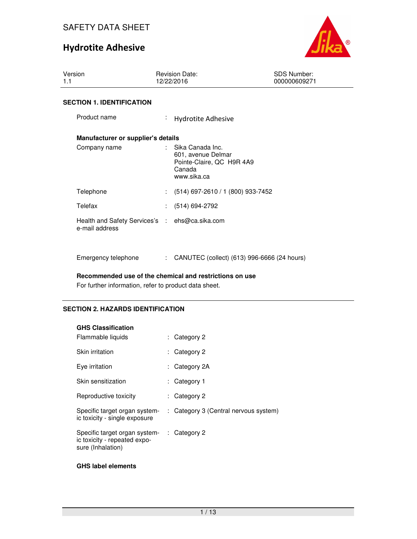

| Version<br>1.1                                                   | <b>Revision Date:</b><br>12/22/2016                                                          | <b>SDS Number:</b><br>000000609271 |
|------------------------------------------------------------------|----------------------------------------------------------------------------------------------|------------------------------------|
| <b>SECTION 1. IDENTIFICATION</b>                                 |                                                                                              |                                    |
| Product name                                                     | t.<br><b>Hydrotite Adhesive</b>                                                              |                                    |
| Manufacturer or supplier's details                               |                                                                                              |                                    |
| Company name                                                     | Sika Canada Inc.<br>601, avenue Delmar<br>Pointe-Claire, QC H9R 4A9<br>Canada<br>www.sika.ca |                                    |
| Telephone                                                        | $(514)$ 697-2610 / 1 (800) 933-7452                                                          |                                    |
| Telefax                                                          | $(514) 694-2792$                                                                             |                                    |
| Health and Safety Services's : ehs@ca.sika.com<br>e-mail address |                                                                                              |                                    |
| Emergency telephone                                              | CANUTEC (collect) (613) 996-6666 (24 hours)                                                  |                                    |

**Recommended use of the chemical and restrictions on use** 

For further information, refer to product data sheet.

## **SECTION 2. HAZARDS IDENTIFICATION**

| <b>GHS Classification</b>                                                          |                                       |
|------------------------------------------------------------------------------------|---------------------------------------|
| Flammable liquids                                                                  | $:$ Category 2                        |
| Skin irritation                                                                    | Category 2                            |
| Eye irritation                                                                     | : Category 2A                         |
| Skin sensitization                                                                 | : Category 1                          |
| Reproductive toxicity                                                              | $:$ Category 2                        |
| Specific target organ system-<br>ic toxicity - single exposure                     | : Category 3 (Central nervous system) |
| Specific target organ system-<br>ic toxicity - repeated expo-<br>sure (Inhalation) | $\therefore$ Category 2               |

## **GHS label elements**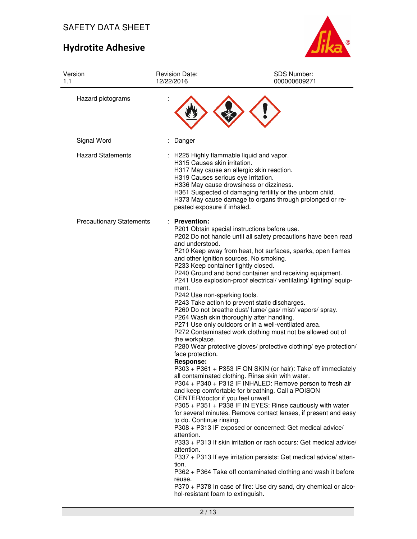

| Version<br>1.1                  | <b>Revision Date:</b><br>12/22/2016                                                                                                                                                                                                                                                                                                                                        | SDS Number:<br>000000609271                                                                                                                                                                                                                                                                                                                                                                                                                                                                                                                                                                                                                                                                                                                                                                                                                                                                                                                                                                                                                                                                                                                                                                                                                                                                                                                                                                 |
|---------------------------------|----------------------------------------------------------------------------------------------------------------------------------------------------------------------------------------------------------------------------------------------------------------------------------------------------------------------------------------------------------------------------|---------------------------------------------------------------------------------------------------------------------------------------------------------------------------------------------------------------------------------------------------------------------------------------------------------------------------------------------------------------------------------------------------------------------------------------------------------------------------------------------------------------------------------------------------------------------------------------------------------------------------------------------------------------------------------------------------------------------------------------------------------------------------------------------------------------------------------------------------------------------------------------------------------------------------------------------------------------------------------------------------------------------------------------------------------------------------------------------------------------------------------------------------------------------------------------------------------------------------------------------------------------------------------------------------------------------------------------------------------------------------------------------|
| Hazard pictograms               |                                                                                                                                                                                                                                                                                                                                                                            |                                                                                                                                                                                                                                                                                                                                                                                                                                                                                                                                                                                                                                                                                                                                                                                                                                                                                                                                                                                                                                                                                                                                                                                                                                                                                                                                                                                             |
| Signal Word                     | Danger                                                                                                                                                                                                                                                                                                                                                                     |                                                                                                                                                                                                                                                                                                                                                                                                                                                                                                                                                                                                                                                                                                                                                                                                                                                                                                                                                                                                                                                                                                                                                                                                                                                                                                                                                                                             |
| <b>Hazard Statements</b>        | : H225 Highly flammable liquid and vapor.<br>H315 Causes skin irritation.<br>H319 Causes serious eye irritation.<br>peated exposure if inhaled.                                                                                                                                                                                                                            | H317 May cause an allergic skin reaction.<br>H336 May cause drowsiness or dizziness.<br>H361 Suspected of damaging fertility or the unborn child.<br>H373 May cause damage to organs through prolonged or re-                                                                                                                                                                                                                                                                                                                                                                                                                                                                                                                                                                                                                                                                                                                                                                                                                                                                                                                                                                                                                                                                                                                                                                               |
| <b>Precautionary Statements</b> | : Prevention:<br>and understood.<br>and other ignition sources. No smoking.<br>P233 Keep container tightly closed.<br>ment.<br>P242 Use non-sparking tools.<br>the workplace.<br>face protection.<br><b>Response:</b><br>CENTER/doctor if you feel unwell.<br>to do. Continue rinsing.<br>attention.<br>attention.<br>tion.<br>reuse.<br>hol-resistant foam to extinguish. | P201 Obtain special instructions before use.<br>P202 Do not handle until all safety precautions have been read<br>P210 Keep away from heat, hot surfaces, sparks, open flames<br>P240 Ground and bond container and receiving equipment.<br>P241 Use explosion-proof electrical/ ventilating/ lighting/ equip-<br>P243 Take action to prevent static discharges.<br>P260 Do not breathe dust/ fume/ gas/ mist/ vapors/ spray.<br>P264 Wash skin thoroughly after handling.<br>P271 Use only outdoors or in a well-ventilated area.<br>P272 Contaminated work clothing must not be allowed out of<br>P280 Wear protective gloves/ protective clothing/ eye protection/<br>P303 + P361 + P353 IF ON SKIN (or hair): Take off immediately<br>all contaminated clothing. Rinse skin with water.<br>P304 + P340 + P312 IF INHALED: Remove person to fresh air<br>and keep comfortable for breathing. Call a POISON<br>P305 + P351 + P338 IF IN EYES: Rinse cautiously with water<br>for several minutes. Remove contact lenses, if present and easy<br>P308 + P313 IF exposed or concerned: Get medical advice/<br>P333 + P313 If skin irritation or rash occurs: Get medical advice/<br>P337 + P313 If eye irritation persists: Get medical advice/ atten-<br>P362 + P364 Take off contaminated clothing and wash it before<br>P370 + P378 In case of fire: Use dry sand, dry chemical or alco- |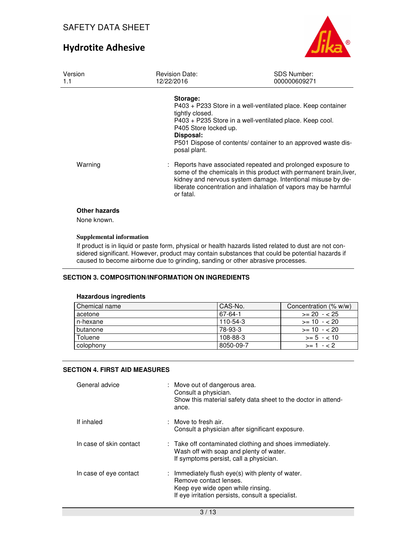

| Version<br>1.1                      | <b>Revision Date:</b><br>12/22/2016                                               | <b>SDS Number:</b><br>000000609271                                                                                                                                                                                                                                  |  |  |
|-------------------------------------|-----------------------------------------------------------------------------------|---------------------------------------------------------------------------------------------------------------------------------------------------------------------------------------------------------------------------------------------------------------------|--|--|
|                                     | Storage:<br>tightly closed.<br>P405 Store locked up.<br>Disposal:<br>posal plant. | P403 + P233 Store in a well-ventilated place. Keep container<br>P403 + P235 Store in a well-ventilated place. Keep cool.<br>P501 Dispose of contents/ container to an approved waste dis-                                                                           |  |  |
| Warning                             | or fatal.                                                                         | : Reports have associated repeated and prolonged exposure to<br>some of the chemicals in this product with permanent brain, liver,<br>kidney and nervous system damage. Intentional misuse by de-<br>liberate concentration and inhalation of vapors may be harmful |  |  |
| <b>Other hazards</b><br>None known. |                                                                                   |                                                                                                                                                                                                                                                                     |  |  |
| <b>Supplemental information</b>     |                                                                                   |                                                                                                                                                                                                                                                                     |  |  |

If product is in liquid or paste form, physical or health hazards listed related to dust are not considered significant. However, product may contain substances that could be potential hazards if caused to become airborne due to grinding, sanding or other abrasive processes.

## **SECTION 3. COMPOSITION/INFORMATION ON INGREDIENTS**

#### **Hazardous ingredients**

| Chemical name | l CAS-No.  | Concentration (% w/w) |
|---------------|------------|-----------------------|
| acetone       | 67-64-1    | $>= 20 - 25$          |
| n-hexane      | $110-54-3$ | $>= 10 - 20$          |
| butanone      | 78-93-3    | $>= 10 - 20$          |
| Toluene       | $108-88-3$ | $>= 5 - < 10$         |
| colophony     | 8050-09-7  | $>= 1 - < 2$          |

#### **SECTION 4. FIRST AID MEASURES**

| General advice          | : Move out of dangerous area.<br>Consult a physician.<br>Show this material safety data sheet to the doctor in attend-<br>ance.                                      |
|-------------------------|----------------------------------------------------------------------------------------------------------------------------------------------------------------------|
| If inhaled              | : Move to fresh air.<br>Consult a physician after significant exposure.                                                                                              |
| In case of skin contact | : Take off contaminated clothing and shoes immediately.<br>Wash off with soap and plenty of water.<br>If symptoms persist, call a physician.                         |
| In case of eye contact  | : Immediately flush eye(s) with plenty of water.<br>Remove contact lenses.<br>Keep eye wide open while rinsing.<br>If eye irritation persists, consult a specialist. |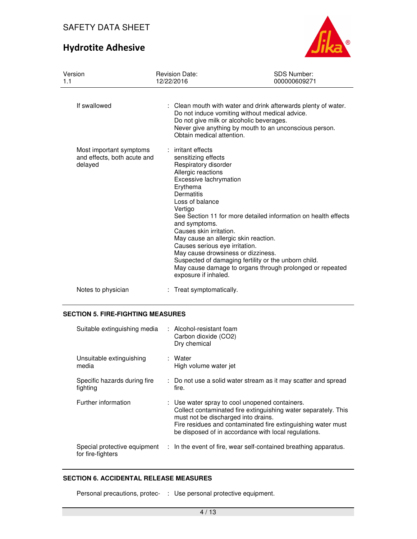# Hydrotite Adhesive



| Version<br>1.1                                                    | <b>Revision Date:</b><br>12/22/2016                                                                                                                                                                                                                                                                                                                           | <b>SDS Number:</b><br>000000609271                                                                                                                                                 |
|-------------------------------------------------------------------|---------------------------------------------------------------------------------------------------------------------------------------------------------------------------------------------------------------------------------------------------------------------------------------------------------------------------------------------------------------|------------------------------------------------------------------------------------------------------------------------------------------------------------------------------------|
| If swallowed                                                      | Do not give milk or alcoholic beverages.<br>Obtain medical attention.                                                                                                                                                                                                                                                                                         | : Clean mouth with water and drink afterwards plenty of water.<br>Do not induce vomiting without medical advice.<br>Never give anything by mouth to an unconscious person.         |
| Most important symptoms<br>and effects, both acute and<br>delayed | : irritant effects<br>sensitizing effects<br>Respiratory disorder<br>Allergic reactions<br>Excessive lachrymation<br>Erythema<br>Dermatitis<br>Loss of balance<br>Vertigo<br>and symptoms.<br>Causes skin irritation.<br>May cause an allergic skin reaction.<br>Causes serious eye irritation.<br>May cause drowsiness or dizziness.<br>exposure if inhaled. | See Section 11 for more detailed information on health effects<br>Suspected of damaging fertility or the unborn child.<br>May cause damage to organs through prolonged or repeated |
| Notes to physician                                                | : Treat symptomatically.                                                                                                                                                                                                                                                                                                                                      |                                                                                                                                                                                    |

## **SECTION 5. FIRE-FIGHTING MEASURES**

| Suitable extinguishing media                      | : Alcohol-resistant foam<br>Carbon dioxide (CO2)<br>Dry chemical                                                                                                                                                                                                                |
|---------------------------------------------------|---------------------------------------------------------------------------------------------------------------------------------------------------------------------------------------------------------------------------------------------------------------------------------|
| Unsuitable extinguishing<br>media                 | : Water<br>High volume water jet                                                                                                                                                                                                                                                |
| Specific hazards during fire<br>fighting          | : Do not use a solid water stream as it may scatter and spread<br>fire.                                                                                                                                                                                                         |
| Further information                               | : Use water spray to cool unopened containers.<br>Collect contaminated fire extinguishing water separately. This<br>must not be discharged into drains.<br>Fire residues and contaminated fire extinguishing water must<br>be disposed of in accordance with local regulations. |
| Special protective equipment<br>for fire-fighters | : In the event of fire, wear self-contained breathing apparatus.                                                                                                                                                                                                                |

#### **SECTION 6. ACCIDENTAL RELEASE MEASURES**

Personal precautions, protec- : Use personal protective equipment.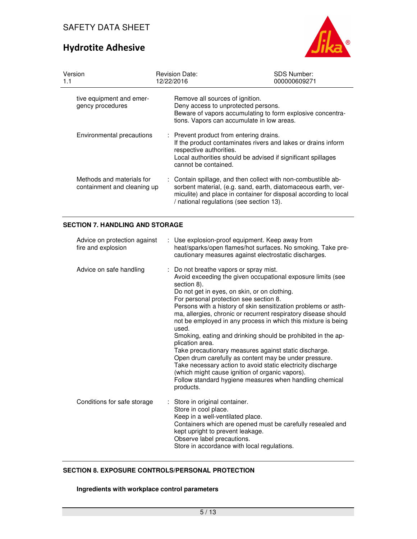

| Version<br>1.1 |                                                          | <b>Revision Date:</b><br>12/22/2016 |                                                                                                                                                            | <b>SDS Number:</b><br>000000609271 |                                                                                                                                                                                                    |  |
|----------------|----------------------------------------------------------|-------------------------------------|------------------------------------------------------------------------------------------------------------------------------------------------------------|------------------------------------|----------------------------------------------------------------------------------------------------------------------------------------------------------------------------------------------------|--|
|                | tive equipment and emer-<br>gency procedures             |                                     | Remove all sources of ignition.<br>Deny access to unprotected persons.<br>tions. Vapors can accumulate in low areas.                                       |                                    | Beware of vapors accumulating to form explosive concentra-                                                                                                                                         |  |
|                | Environmental precautions                                |                                     | : Prevent product from entering drains.<br>respective authorities.<br>Local authorities should be advised if significant spillages<br>cannot be contained. |                                    | If the product contaminates rivers and lakes or drains inform                                                                                                                                      |  |
|                | Methods and materials for<br>containment and cleaning up |                                     | / national regulations (see section 13).                                                                                                                   |                                    | : Contain spillage, and then collect with non-combustible ab-<br>sorbent material, (e.g. sand, earth, diatomaceous earth, ver-<br>miculite) and place in container for disposal according to local |  |

## **SECTION 7. HANDLING AND STORAGE**

| Advice on protection against<br>fire and explosion | : Use explosion-proof equipment. Keep away from<br>heat/sparks/open flames/hot surfaces. No smoking. Take pre-<br>cautionary measures against electrostatic discharges.                                                                                                                                                                                                                                                                                                                                                                                                                                                                                                                                                                                                                                                     |
|----------------------------------------------------|-----------------------------------------------------------------------------------------------------------------------------------------------------------------------------------------------------------------------------------------------------------------------------------------------------------------------------------------------------------------------------------------------------------------------------------------------------------------------------------------------------------------------------------------------------------------------------------------------------------------------------------------------------------------------------------------------------------------------------------------------------------------------------------------------------------------------------|
| Advice on safe handling                            | : Do not breathe vapors or spray mist.<br>Avoid exceeding the given occupational exposure limits (see<br>section 8).<br>Do not get in eyes, on skin, or on clothing.<br>For personal protection see section 8.<br>Persons with a history of skin sensitization problems or asth-<br>ma, allergies, chronic or recurrent respiratory disease should<br>not be employed in any process in which this mixture is being<br>used.<br>Smoking, eating and drinking should be prohibited in the ap-<br>plication area.<br>Take precautionary measures against static discharge.<br>Open drum carefully as content may be under pressure.<br>Take necessary action to avoid static electricity discharge<br>(which might cause ignition of organic vapors).<br>Follow standard hygiene measures when handling chemical<br>products. |
| Conditions for safe storage                        | : Store in original container.<br>Store in cool place.<br>Keep in a well-ventilated place.<br>Containers which are opened must be carefully resealed and<br>kept upright to prevent leakage.<br>Observe label precautions.<br>Store in accordance with local regulations.                                                                                                                                                                                                                                                                                                                                                                                                                                                                                                                                                   |

### **SECTION 8. EXPOSURE CONTROLS/PERSONAL PROTECTION**

## **Ingredients with workplace control parameters**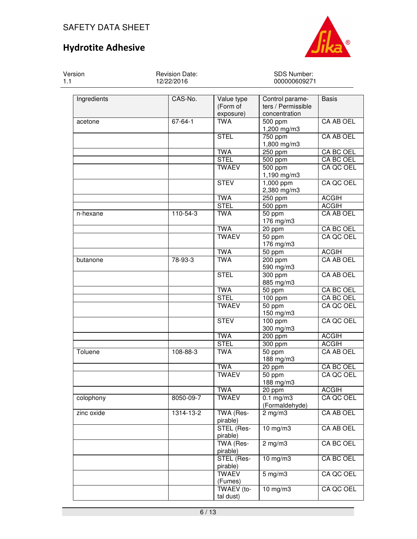Version



SDS Number:

1.1 12/22/2016 000000609271 Ingredients CAS-No. Value type (Form of exposure) Control parameters / Permissible concentration Basis acetone 67-64-1 TWA 500 ppm 1,200 mg/m3 CA AB OEL ster and the state of the state of the STEL (1750 ppm) and  $\sim$  1750 ppm 1,800 mg/m3 CA AB OEL TWA 250 ppm CA BC OEL STEL 500 ppm CA BC OEL TWAEV 500 ppm 1,190 mg/m3 CA QC OEL STEV | 1,000 ppm 2,380 mg/m3 CA QC OEL TWA 250 ppm ACGIH STEL 500 ppm ACGIH n-hexane 110-54-3 TWA 50 ppm 176 mg/m3 CA AB OEL TWA 20 ppm CA BC OEL<br>TWAEV 50 ppm CA QC OEL s the contract of the contract of the contract of the contract of the contract of the contract of the contract of the contract of the contract of the contract of the contract of the contract of the contract of the contract 176 mg/m3 CA QC OEL TWA 50 ppm ACGIH butanone 78-93-3 TWA 200 ppm 590 mg/m3 CA AB OEL STEL 300 ppm 885 mg/m3 CA AB OEL TWA 50 ppm CA BC OEL<br>STEL 100 ppm CA BC OEL 100 ppm CA BC OEL TWAEV | 50 ppm 150 mg/m3 CA QC OEL STEV | 100 ppm 300 mg/m3 CA QC OEL TWA 200 ppm ACGIH STEL 300 ppm ACGIH Toluene 108-88-3 TWA 50 ppm 188 mg/m3 CA AB OEL TWA 20 ppm CA BC OEL TWAEV 50 ppm 188 mg/m3 CA QC OEL | TWA | 20 ppm | ACGIH colophony 8050-09-7 TWAEV 0.1 mg/m3 (Formaldehyde) CA QC OEL zinc oxide 1314-13-2 TWA (Respirable) 2 mg/m3 CA AB OEL STEL (Respirable) 10 mg/m3 CA AB OEL TWA (Respirable) 2 mg/m3 CA BC OEL STEL (Respirable) 10 mg/m3 CA BC OEL **TWAEV** (Fumes) 5 mg/m3 CA QC OEL

Revision Date:

 TWAEV (total dust)

10 mg/m3 | CA QC OEL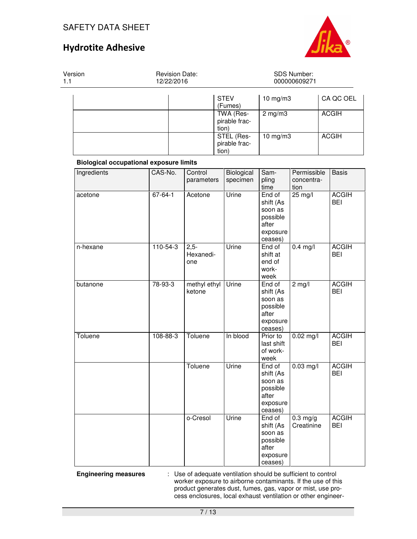

Version 1.1 Revision Date: 12/22/2016 SDS Number: 000000609271 STEVEN AND IN THE RESERVE AND IN THE RESERVE AND IN THE RESERVE AND IN THE RESERVE AND IN THE RESERVE AND IN THE R (Fumes) 10 mg/m3 | CA QC OEL TWA (Respirable fraction) 2 mg/m3 ACGIH STEL (Respirable fraction) 10 mg/m3 ACGIH

## **Biological occupational exposure limits**

| Ingredients    | CAS-No.        | Control<br>parameters      | Biological<br>specimen | Sam-<br>pling<br>time                                                      | Permissible<br>concentra-<br>tion | <b>Basis</b>               |
|----------------|----------------|----------------------------|------------------------|----------------------------------------------------------------------------|-----------------------------------|----------------------------|
| acetone        | $67 - 64 - 1$  | Acetone                    | Urine                  | End of<br>shift (As<br>soon as<br>possible<br>after<br>exposure<br>ceases) | $25 \text{ mg}/l$                 | <b>ACGIH</b><br><b>BEI</b> |
| n-hexane       | $110 - 54 - 3$ | $2,5-$<br>Hexanedi-<br>one | Urine                  | End of<br>shift at<br>end of<br>work-<br>week                              | $0.4$ mg/l                        | <b>ACGIH</b><br><b>BEI</b> |
| butanone       | 78-93-3        | methyl ethyl<br>ketone     | Urine                  | End of<br>shift (As<br>soon as<br>possible<br>after<br>exposure<br>ceases) | $2$ mg/l                          | <b>ACGIH</b><br><b>BEI</b> |
| <b>Toluene</b> | 108-88-3       | Toluene                    | In blood               | Prior to<br>last shift<br>of work-<br>week                                 | $0.02$ mg/l                       | <b>ACGIH</b><br><b>BEI</b> |
|                |                | Toluene                    | Urine                  | End of<br>shift (As<br>soon as<br>possible<br>after<br>exposure<br>ceases) | $0.03$ mg/l                       | <b>ACGIH</b><br><b>BEI</b> |
|                |                | o-Cresol                   | Urine                  | End of<br>shift (As<br>soon as<br>possible<br>after<br>exposure<br>ceases) | $0.3$ mg/g<br>Creatinine          | <b>ACGIH</b><br><b>BEI</b> |

**Engineering measures** : Use of adequate ventilation should be sufficient to control worker exposure to airborne contaminants. If the use of this product generates dust, fumes, gas, vapor or mist, use process enclosures, local exhaust ventilation or other engineer-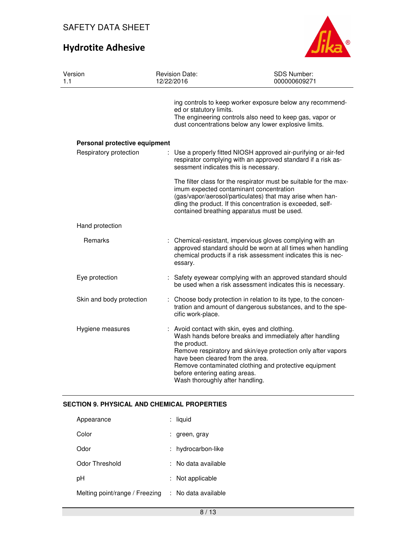

| Version<br>1.1                | <b>Revision Date:</b><br>12/22/2016                                                                                  | SDS Number:<br>000000609271                                                                                                                                                                                                                                                             |
|-------------------------------|----------------------------------------------------------------------------------------------------------------------|-----------------------------------------------------------------------------------------------------------------------------------------------------------------------------------------------------------------------------------------------------------------------------------------|
|                               | ed or statutory limits.                                                                                              | ing controls to keep worker exposure below any recommend-<br>The engineering controls also need to keep gas, vapor or<br>dust concentrations below any lower explosive limits.                                                                                                          |
| Personal protective equipment |                                                                                                                      |                                                                                                                                                                                                                                                                                         |
| Respiratory protection        |                                                                                                                      | Use a properly fitted NIOSH approved air-purifying or air-fed<br>respirator complying with an approved standard if a risk as-<br>sessment indicates this is necessary.                                                                                                                  |
|                               |                                                                                                                      | The filter class for the respirator must be suitable for the max-<br>imum expected contaminant concentration<br>(gas/vapor/aerosol/particulates) that may arise when han-<br>dling the product. If this concentration is exceeded, self-<br>contained breathing apparatus must be used. |
| Hand protection               |                                                                                                                      |                                                                                                                                                                                                                                                                                         |
| Remarks                       | essary.                                                                                                              | : Chemical-resistant, impervious gloves complying with an<br>approved standard should be worn at all times when handling<br>chemical products if a risk assessment indicates this is nec-                                                                                               |
| Eye protection                |                                                                                                                      | : Safety eyewear complying with an approved standard should<br>be used when a risk assessment indicates this is necessary.                                                                                                                                                              |
| Skin and body protection      | cific work-place.                                                                                                    | : Choose body protection in relation to its type, to the concen-<br>tration and amount of dangerous substances, and to the spe-                                                                                                                                                         |
| Hygiene measures              | the product.<br>have been cleared from the area.<br>before entering eating areas.<br>Wash thoroughly after handling. | Avoid contact with skin, eyes and clothing.<br>Wash hands before breaks and immediately after handling<br>Remove respiratory and skin/eye protection only after vapors<br>Remove contaminated clothing and protective equipment                                                         |

## **SECTION 9. PHYSICAL AND CHEMICAL PROPERTIES**

| liquid            |
|-------------------|
| : green, gray     |
| hydrocarbon-like  |
| No data available |
| Not applicable    |
| No data available |
|                   |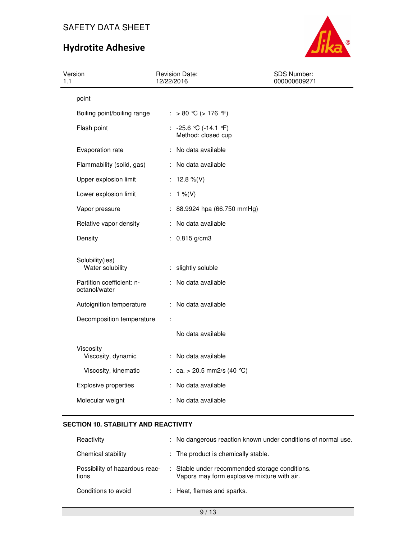# Hydrotite Adhesive



| Version<br>1.1                             | <b>Revision Date:</b><br>12/22/2016              | SDS Number:<br>000000609271 |
|--------------------------------------------|--------------------------------------------------|-----------------------------|
| point                                      |                                                  |                             |
| Boiling point/boiling range                | : > 80 °C (> 176 °F)                             |                             |
| Flash point                                | : $-25.6$ °C ( $-14.1$ °F)<br>Method: closed cup |                             |
| Evaporation rate                           | : No data available                              |                             |
| Flammability (solid, gas)                  | : No data available                              |                             |
| Upper explosion limit                      | : $12.8\%$ (V)                                   |                             |
| Lower explosion limit                      | : $1\%$ (V)                                      |                             |
| Vapor pressure                             | : 88.9924 hpa (66.750 mmHg)                      |                             |
| Relative vapor density                     | : No data available                              |                             |
| Density                                    | : $0.815$ g/cm3                                  |                             |
| Solubility(ies)<br>Water solubility        | : slightly soluble                               |                             |
| Partition coefficient: n-<br>octanol/water | : No data available                              |                             |
| Autoignition temperature                   | : No data available                              |                             |
| Decomposition temperature                  | ÷                                                |                             |
|                                            | No data available                                |                             |
| Viscosity<br>Viscosity, dynamic            | : No data available                              |                             |
| Viscosity, kinematic                       | : ca. > 20.5 mm2/s (40 °C)                       |                             |
| <b>Explosive properties</b>                | : No data available                              |                             |
| Molecular weight                           | : No data available                              |                             |

# **SECTION 10. STABILITY AND REACTIVITY**

| Reactivity                              | : No dangerous reaction known under conditions of normal use.                                 |
|-----------------------------------------|-----------------------------------------------------------------------------------------------|
| Chemical stability                      | : The product is chemically stable.                                                           |
| Possibility of hazardous reac-<br>tions | : Stable under recommended storage conditions.<br>Vapors may form explosive mixture with air. |
| Conditions to avoid                     | : Heat, flames and sparks.                                                                    |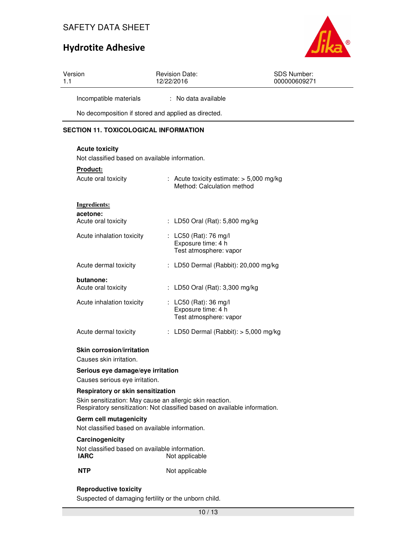# Hydrotite Adhesive



| Version<br>1.1                                      | <b>Revision Date:</b><br>12/22/2016 | <b>SDS Number:</b><br>000000609271 |  |
|-----------------------------------------------------|-------------------------------------|------------------------------------|--|
| Incompatible materials                              | : No data available                 |                                    |  |
| No decomposition if stored and applied as directed. |                                     |                                    |  |
| <b>SECTION 11. TOXICOLOGICAL INFORMATION</b>        |                                     |                                    |  |

## **Acute toxicity**

Not classified based on available information.

| <b>Product:</b><br>Acute oral toxicity | : Acute toxicity estimate: $>$ 5,000 mg/kg<br>Method: Calculation method |
|----------------------------------------|--------------------------------------------------------------------------|
| Ingredients:                           |                                                                          |
| acetone:<br>Acute oral toxicity        | : LD50 Oral (Rat): 5,800 mg/kg                                           |
| Acute inhalation toxicity              | : LC50 (Rat): 76 mg/l<br>Exposure time: 4 h<br>Test atmosphere: vapor    |
| Acute dermal toxicity                  | LD50 Dermal (Rabbit): 20,000 mg/kg                                       |
| butanone:<br>Acute oral toxicity       | : LD50 Oral (Rat): 3,300 mg/kg                                           |
| Acute inhalation toxicity              | : LC50 (Rat): 36 mg/l<br>Exposure time: 4 h<br>Test atmosphere: vapor    |
| Acute dermal toxicity                  | LD50 Dermal (Rabbit): $>$ 5,000 mg/kg                                    |

#### **Skin corrosion/irritation**

Causes skin irritation.

#### **Serious eye damage/eye irritation**

Causes serious eye irritation.

#### **Respiratory or skin sensitization**

Skin sensitization: May cause an allergic skin reaction. Respiratory sensitization: Not classified based on available information.

#### **Germ cell mutagenicity**

Not classified based on available information.

#### **Carcinogenicity**

Not classified based on available information.<br>**IARC** Not applicable **Not applicable** 

**NTP** Not applicable

#### **Reproductive toxicity**

Suspected of damaging fertility or the unborn child.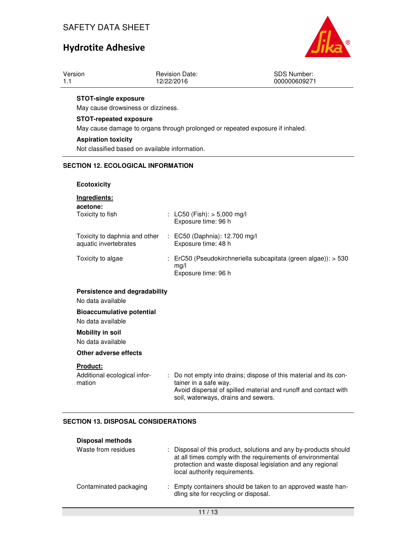

|  | Version | <b>Revision Date:</b><br>12/22/2016 | <b>SDS Number:</b><br>000000609271 |
|--|---------|-------------------------------------|------------------------------------|
|--|---------|-------------------------------------|------------------------------------|

#### **STOT-single exposure**

May cause drowsiness or dizziness.

#### **STOT-repeated exposure**

May cause damage to organs through prolonged or repeated exposure if inhaled.

#### **Aspiration toxicity**

Not classified based on available information.

### **SECTION 12. ECOLOGICAL INFORMATION**

#### **Ecotoxicity**

## **Ingredients:**

| acetone:<br>Toxicity to fish                           | : LC50 (Fish): $>$ 5,000 mg/l<br>Exposure time: 96 h                                                     |
|--------------------------------------------------------|----------------------------------------------------------------------------------------------------------|
| Toxicity to daphnia and other<br>aquatic invertebrates | : EC50 (Daphnia): 12.700 mg/l<br>Exposure time: 48 h                                                     |
| Toxicity to algae                                      | $\therefore$ ErC50 (Pseudokirchneriella subcapitata (green algae)): > 530<br>mg/l<br>Exposure time: 96 h |

### **Persistence and degradability**

No data available

**Bioaccumulative potential** 

# No data available

## **Mobility in soil**

No data available

## **Other adverse effects**

#### **Product:**

| Additional ecological infor- | : Do not empty into drains; dispose of this material and its con- |
|------------------------------|-------------------------------------------------------------------|
| mation                       | tainer in a safe way.                                             |
|                              | Avoid dispersal of spilled material and runoff and contact with   |
|                              | soil, waterways, drains and sewers.                               |

#### **SECTION 13. DISPOSAL CONSIDERATIONS**

| <b>Disposal methods</b> |                                                                                                                                                                                                                               |
|-------------------------|-------------------------------------------------------------------------------------------------------------------------------------------------------------------------------------------------------------------------------|
| Waste from residues     | : Disposal of this product, solutions and any by-products should<br>at all times comply with the requirements of environmental<br>protection and waste disposal legislation and any regional<br>local authority requirements. |
| Contaminated packaging  | : Empty containers should be taken to an approved waste han-<br>dling site for recycling or disposal.                                                                                                                         |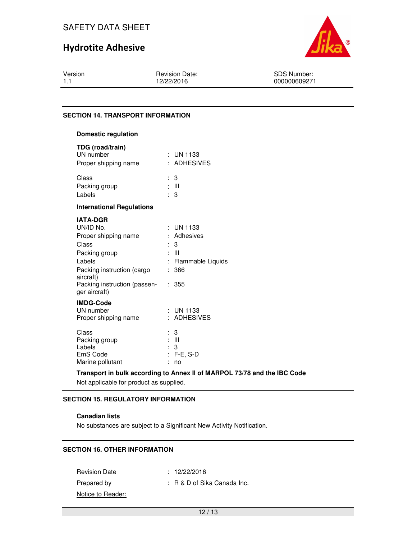# Hydrotite Adhesive



Version 1.1

Revision Date: 12/22/2016

SDS Number: 000000609271

#### **SECTION 14. TRANSPORT INFORMATION**

### **Domestic regulation**

| TDG (road/train)<br>UN number<br>Proper shipping name                                                                                                                                | : UN 1133<br>: ADHESIVES                                                                |
|--------------------------------------------------------------------------------------------------------------------------------------------------------------------------------------|-----------------------------------------------------------------------------------------|
| Class<br>Packing group<br>Labels                                                                                                                                                     | : 3<br>: III<br>$\therefore$ 3                                                          |
| <b>International Regulations</b>                                                                                                                                                     |                                                                                         |
| <b>IATA-DGR</b><br>UN/ID No.<br>Proper shipping name<br>Class<br>Packing group<br>Labels<br>Packing instruction (cargo<br>aircraft)<br>Packing instruction (passen-<br>ger aircraft) | UN 1133<br>: Adhesives<br>3<br>t.<br>: III<br>: Flammable Liquids<br>366<br>t.<br>: 355 |
| <b>IMDG-Code</b><br>UN number<br>Proper shipping name                                                                                                                                | $:$ UN 1133<br><b>ADHESIVES</b><br>$\epsilon$                                           |
| Class<br>Packing group<br>Labels<br>EmS Code<br>Marine pollutant                                                                                                                     | 3<br>: III<br>3<br>$F-E$ , S-D<br>÷<br>t<br>no                                          |

#### **Transport in bulk according to Annex II of MARPOL 73/78 and the IBC Code**

Not applicable for product as supplied.

## **SECTION 15. REGULATORY INFORMATION**

### **Canadian lists**

No substances are subject to a Significant New Activity Notification.

## **SECTION 16. OTHER INFORMATION**

Revision Date : 12/22/2016 Prepared by : R & D of Sika Canada Inc. Notice to Reader: